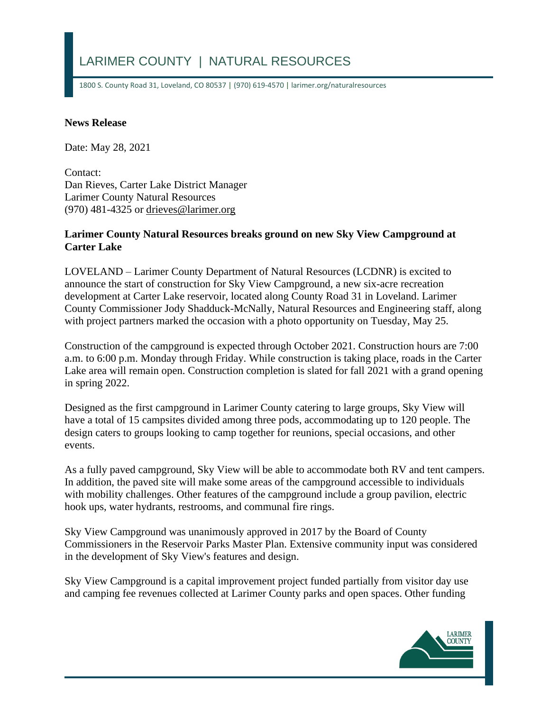## LARIMER COUNTY | NATURAL RESOURCES

1800 S. County Road 31, Loveland, CO 80537 | (970) 619-4570 | larimer.org/naturalresources

## **News Release**

Date: May 28, 2021

Contact: Dan Rieves, Carter Lake District Manager Larimer County Natural Resources (970) 481-4325 or [drieves@larimer.org](mailto:drieves@larimer.org)

## **Larimer County Natural Resources breaks ground on new Sky View Campground at Carter Lake**

LOVELAND – Larimer County Department of Natural Resources (LCDNR) is excited to announce the start of construction for Sky View Campground, a new six-acre recreation development at Carter Lake reservoir, located along County Road 31 in Loveland. Larimer County Commissioner Jody Shadduck-McNally, Natural Resources and Engineering staff, along with project partners marked the occasion with a photo opportunity on Tuesday, May 25.

Construction of the campground is expected through October 2021. Construction hours are 7:00 a.m. to 6:00 p.m. Monday through Friday. While construction is taking place, roads in the Carter Lake area will remain open. Construction completion is slated for fall 2021 with a grand opening in spring 2022.

Designed as the first campground in Larimer County catering to large groups, Sky View will have a total of 15 campsites divided among three pods, accommodating up to 120 people. The design caters to groups looking to camp together for reunions, special occasions, and other events.

As a fully paved campground, Sky View will be able to accommodate both RV and tent campers. In addition, the paved site will make some areas of the campground accessible to individuals with mobility challenges. Other features of the campground include a group pavilion, electric hook ups, water hydrants, restrooms, and communal fire rings.

Sky View Campground was unanimously approved in 2017 by the Board of County Commissioners in the Reservoir Parks Master Plan. Extensive community input was considered in the development of Sky View's features and design.

Sky View Campground is a capital improvement project funded partially from visitor day use and camping fee revenues collected at Larimer County parks and open spaces. Other funding